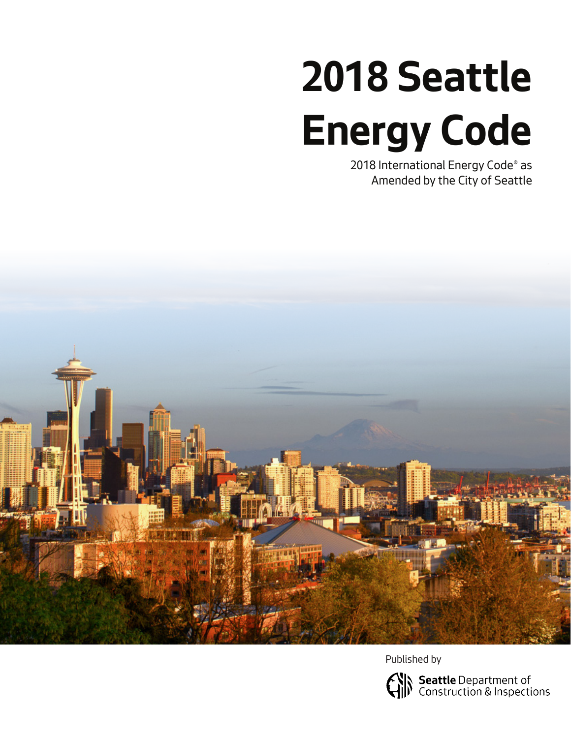# **2018 Seattle Energy Code**

2018 International Energy Code® as Amended by the City of Seattle



Published by



Seattle Department of<br>Seattle Department of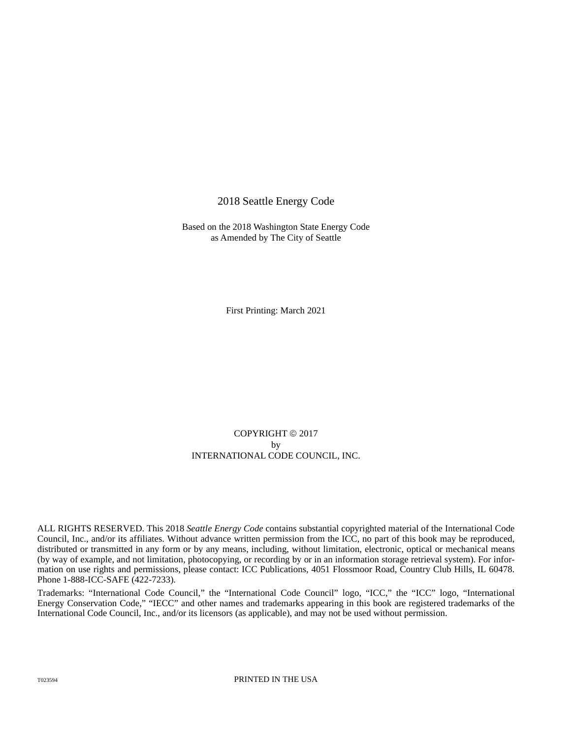2018 Seattle Energy Code

Based on the 2018 Washington State Energy Code as Amended by The City of Seattle

First Printing: March 2021

#### COPYRIGHT © 2017 by INTERNATIONAL CODE COUNCIL, INC.

ALL RIGHTS RESERVED. This 2018 *Seattle Energy Code* contains substantial copyrighted material of the International Code Council, Inc., and/or its affiliates. Without advance written permission from the ICC, no part of this book may be reproduced, distributed or transmitted in any form or by any means, including, without limitation, electronic, optical or mechanical means (by way of example, and not limitation, photocopying, or recording by or in an information storage retrieval system). For information on use rights and permissions, please contact: ICC Publications, 4051 Flossmoor Road, Country Club Hills, IL 60478. Phone 1-888-ICC-SAFE (422-7233).

Trademarks: "International Code Council," the "International Code Council" logo, "ICC," the "ICC" logo, "International Energy Conservation Code," "IECC" and other names and trademarks appearing in this book are registered trademarks of the International Code Council, Inc., and/or its licensors (as applicable), and may not be used without permission.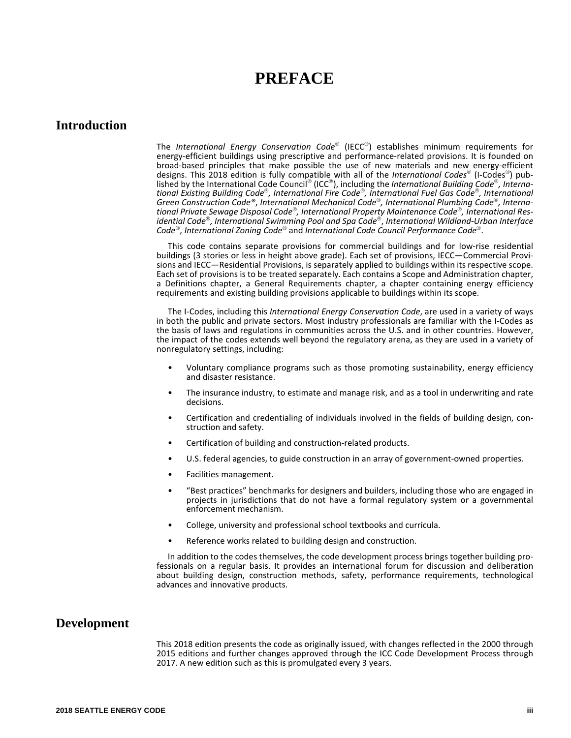# **PREFACE**

## **Introduction**

The *International Energy Conservation Code* (IECC ) establishes minimum requirements for energy-efficient buildings using prescriptive and performance-related provisions. It is founded on broad-based principles that make possible the use of new materials and new energy-efficient designs. This 2018 edition is fully compatible with all of the *International Codes* (I-Codes ) published by the International Code Council<sup>®</sup> (ICC<sup>®</sup>), including the International Building Code<sup>®</sup>, Interna*tional Existing Building Code , International Fire Code , International Fuel Gas Code , International Green Construction Code®*, *International Mechanical Code , International Plumbing Code , International Private Sewage Disposal Code , International Property Maintenance Code , International Residential Code , International Swimming Pool and Spa Code* , *International Wildland-Urban Interface* Code®, International Zoning Code® and International Code Council Performance Code®.

This code contains separate provisions for commercial buildings and for low-rise residential buildings (3 stories or less in height above grade). Each set of provisions, IECC—Commercial Provisions and IECC—Residential Provisions, is separately applied to buildings within its respective scope. Each set of provisions is to be treated separately. Each contains a Scope and Administration chapter, a Definitions chapter, a General Requirements chapter, a chapter containing energy efficiency requirements and existing building provisions applicable to buildings within its scope.

The I-Codes, including this *International Energy Conservation Code*, are used in a variety of ways in both the public and private sectors. Most industry professionals are familiar with the I-Codes as the basis of laws and regulations in communities across the U.S. and in other countries. However, the impact of the codes extends well beyond the regulatory arena, as they are used in a variety of nonregulatory settings, including:

- Voluntary compliance programs such as those promoting sustainability, energy efficiency and disaster resistance.
- The insurance industry, to estimate and manage risk, and as a tool in underwriting and rate decisions.
- Certification and credentialing of individuals involved in the fields of building design, construction and safety.
- Certification of building and construction-related products.
- U.S. federal agencies, to guide construction in an array of government-owned properties.
- Facilities management.
- "Best practices" benchmarks for designers and builders, including those who are engaged in projects in jurisdictions that do not have a formal regulatory system or a governmental enforcement mechanism.
- College, university and professional school textbooks and curricula.
- Reference works related to building design and construction.

In addition to the codes themselves, the code development process brings together building professionals on a regular basis. It provides an international forum for discussion and deliberation about building design, construction methods, safety, performance requirements, technological advances and innovative products.

#### **Development**

This 2018 edition presents the code as originally issued, with changes reflected in the 2000 through 2015 editions and further changes approved through the ICC Code Development Process through 2017. A new edition such as this is promulgated every 3 years.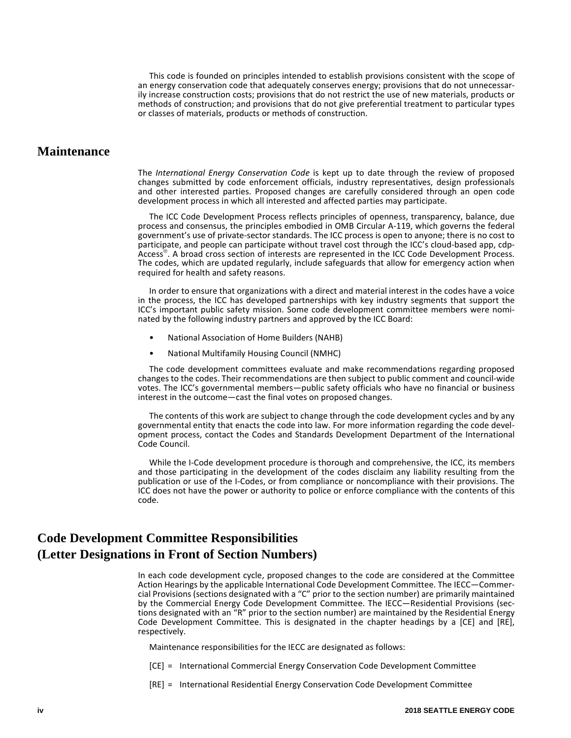This code is founded on principles intended to establish provisions consistent with the scope of an energy conservation code that adequately conserves energy; provisions that do not unnecessarily increase construction costs; provisions that do not restrict the use of new materials, products or methods of construction; and provisions that do not give preferential treatment to particular types or classes of materials, products or methods of construction.

#### **Maintenance**

The *International Energy Conservation Code* is kept up to date through the review of proposed changes submitted by code enforcement officials, industry representatives, design professionals and other interested parties. Proposed changes are carefully considered through an open code development process in which all interested and affected parties may participate.

The ICC Code Development Process reflects principles of openness, transparency, balance, due process and consensus, the principles embodied in OMB Circular A-119, which governs the federal government's use of private-sector standards. The ICC process is open to anyone; there is no cost to participate, and people can participate without travel cost through the ICC's cloud-based app, cdp-Access<sup>®</sup>. A broad cross section of interests are represented in the ICC Code Development Process. The codes, which are updated regularly, include safeguards that allow for emergency action when required for health and safety reasons.

In order to ensure that organizations with a direct and material interest in the codes have a voice in the process, the ICC has developed partnerships with key industry segments that support the ICC's important public safety mission. Some code development committee members were nominated by the following industry partners and approved by the ICC Board:

- National Association of Home Builders (NAHB)
- National Multifamily Housing Council (NMHC)

The code development committees evaluate and make recommendations regarding proposed changes to the codes. Their recommendations are then subject to public comment and council-wide votes. The ICC's governmental members—public safety officials who have no financial or business interest in the outcome—cast the final votes on proposed changes.

The contents of this work are subject to change through the code development cycles and by any governmental entity that enacts the code into law. For more information regarding the code development process, contact the Codes and Standards Development Department of the International Code Council.

While the I-Code development procedure is thorough and comprehensive, the ICC, its members and those participating in the development of the codes disclaim any liability resulting from the publication or use of the I-Codes, or from compliance or noncompliance with their provisions. The ICC does not have the power or authority to police or enforce compliance with the contents of this code.

# **Code Development Committee Responsibilities (Letter Designations in Front of Section Numbers)**

In each code development cycle, proposed changes to the code are considered at the Committee Action Hearings by the applicable International Code Development Committee. The IECC—Commercial Provisions (sections designated with a "C" prior to the section number) are primarily maintained by the Commercial Energy Code Development Committee. The IECC—Residential Provisions (sections designated with an "R" prior to the section number) are maintained by the Residential Energy Code Development Committee. This is designated in the chapter headings by a [CE] and [RE], respectively.

Maintenance responsibilities for the IECC are designated as follows:

[CE] = International Commercial Energy Conservation Code Development Committee

[RE] = International Residential Energy Conservation Code Development Committee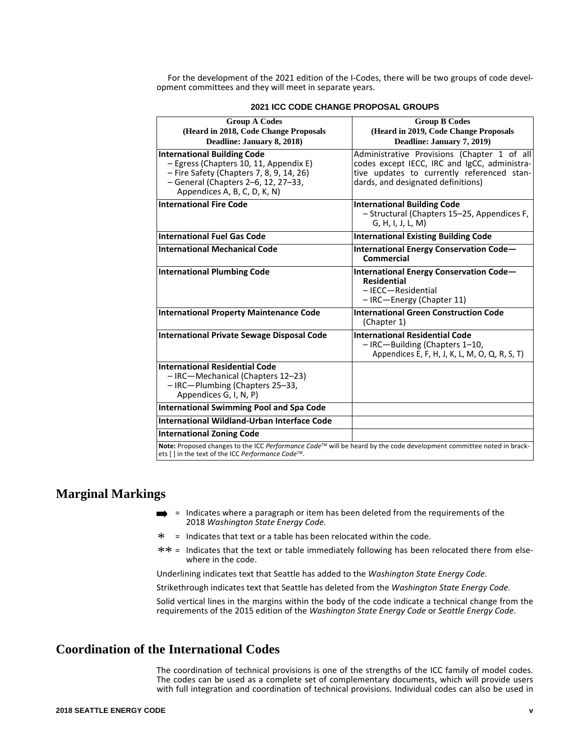For the development of the 2021 edition of the I-Codes, there will be two groups of code development committees and they will meet in separate years.

|                                                                                                                                                                                                 | <b>Group B Codes</b>                                                                                                                                                            |
|-------------------------------------------------------------------------------------------------------------------------------------------------------------------------------------------------|---------------------------------------------------------------------------------------------------------------------------------------------------------------------------------|
| <b>Group A Codes</b>                                                                                                                                                                            |                                                                                                                                                                                 |
| (Heard in 2018, Code Change Proposals                                                                                                                                                           | (Heard in 2019, Code Change Proposals                                                                                                                                           |
| Deadline: January 8, 2018)                                                                                                                                                                      | Deadline: January 7, 2019)                                                                                                                                                      |
| <b>International Building Code</b><br>- Egress (Chapters 10, 11, Appendix E)<br>- Fire Safety (Chapters 7, 8, 9, 14, 26)<br>- General (Chapters 2-6, 12, 27-33,<br>Appendices A, B, C, D, K, N) | Administrative Provisions (Chapter 1 of all<br>codes except IECC, IRC and IgCC, administra-<br>tive updates to currently referenced stan-<br>dards, and designated definitions) |
| <b>International Fire Code</b>                                                                                                                                                                  | <b>International Building Code</b><br>- Structural (Chapters 15-25, Appendices F,<br>G, H, I, J, L, M                                                                           |
| International Fuel Gas Code                                                                                                                                                                     | <b>International Existing Building Code</b>                                                                                                                                     |
| International Mechanical Code                                                                                                                                                                   | <b>International Energy Conservation Code-</b><br><b>Commercial</b>                                                                                                             |
| International Plumbing Code                                                                                                                                                                     | <b>International Energy Conservation Code-</b><br><b>Residential</b><br>- IECC-Residential<br>- IRC-Energy (Chapter 11)                                                         |
| <b>International Property Maintenance Code</b>                                                                                                                                                  | <b>International Green Construction Code</b><br>(Chapter 1)                                                                                                                     |
| International Private Sewage Disposal Code                                                                                                                                                      | <b>International Residential Code</b><br>- IRC-Building (Chapters 1-10,<br>Appendices E, F, H, J, K, L, M, O, Q, R, S, T)                                                       |
| <b>International Residential Code</b><br>- IRC-Mechanical (Chapters 12-23)<br>- IRC-Plumbing (Chapters 25-33,<br>Appendices G, I, N, P)                                                         |                                                                                                                                                                                 |
| <b>International Swimming Pool and Spa Code</b>                                                                                                                                                 |                                                                                                                                                                                 |
| International Wildland-Urban Interface Code                                                                                                                                                     |                                                                                                                                                                                 |
| <b>International Zoning Code</b>                                                                                                                                                                |                                                                                                                                                                                 |
| Note: Proposed changes to the ICC Performance Code™ will be heard by the code development committee noted in brack-<br>ets [] in the text of the ICC Performance Code™.                         |                                                                                                                                                                                 |

#### **2021 ICC CODE CHANGE PROPOSAL GROUPS**

# **Marginal Markings**

- = Indicates where a paragraph or item has been deleted from the requirements of the 2018 *Washington State Energy Code.*
- $* =$  Indicates that text or a table has been relocated within the code.
- \*\* = Indicates that the text or table immediately following has been relocated there from else-<br>where in the sode where in the code.

Underlining indicates text that Seattle has added to the *Washington State Energy Code.*

Strikethrough indicates text that Seattle has deleted from the *Washington State Energy Code.*

Solid vertical lines in the margins within the body of the code indicate a technical change from the requirements of the 2015 edition of the *Washington State Energy Code* or *Seattle Energy Code*.

# **Coordination of the International Codes**

The coordination of technical provisions is one of the strengths of the ICC family of model codes. The codes can be used as a complete set of complementary documents, which will provide users with full integration and coordination of technical provisions. Individual codes can also be used in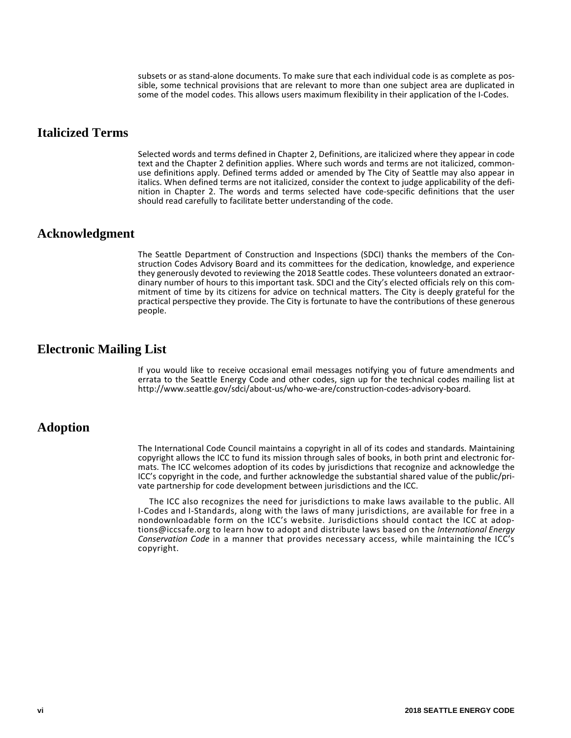subsets or as stand-alone documents. To make sure that each individual code is as complete as possible, some technical provisions that are relevant to more than one subject area are duplicated in some of the model codes. This allows users maximum flexibility in their application of the I-Codes.

# **Italicized Terms**

Selected words and terms defined in Chapter 2, Definitions, are italicized where they appear in code text and the Chapter 2 definition applies. Where such words and terms are not italicized, commonuse definitions apply. Defined terms added or amended by The City of Seattle may also appear in italics. When defined terms are not italicized, consider the context to judge applicability of the definition in Chapter 2. The words and terms selected have code-specific definitions that the user should read carefully to facilitate better understanding of the code.

#### **Acknowledgment**

The Seattle Department of Construction and Inspections (SDCI) thanks the members of the Construction Codes Advisory Board and its committees for the dedication, knowledge, and experience they generously devoted to reviewing the 2018 Seattle codes. These volunteers donated an extraordinary number of hours to this important task. SDCI and the City's elected officials rely on this commitment of time by its citizens for advice on technical matters. The City is deeply grateful for the practical perspective they provide. The City is fortunate to have the contributions of these generous people.

## **Electronic Mailing List**

If you would like to receive occasional email messages notifying you of future amendments and errata to the Seattle Energy Code and other codes, sign up for the technical codes mailing list at http://www.seattle.gov/sdci/about-us/who-we-are/construction-codes-advisory-board.

## **Adoption**

The International Code Council maintains a copyright in all of its codes and standards. Maintaining copyright allows the ICC to fund its mission through sales of books, in both print and electronic formats. The ICC welcomes adoption of its codes by jurisdictions that recognize and acknowledge the ICC's copyright in the code, and further acknowledge the substantial shared value of the public/private partnership for code development between jurisdictions and the ICC.

The ICC also recognizes the need for jurisdictions to make laws available to the public. All I-Codes and I-Standards, along with the laws of many jurisdictions, are available for free in a nondownloadable form on the ICC's website. Jurisdictions should contact the ICC at adoptions@iccsafe.org to learn how to adopt and distribute laws based on the *International Energy Conservation Code* in a manner that provides necessary access, while maintaining the ICC's copyright.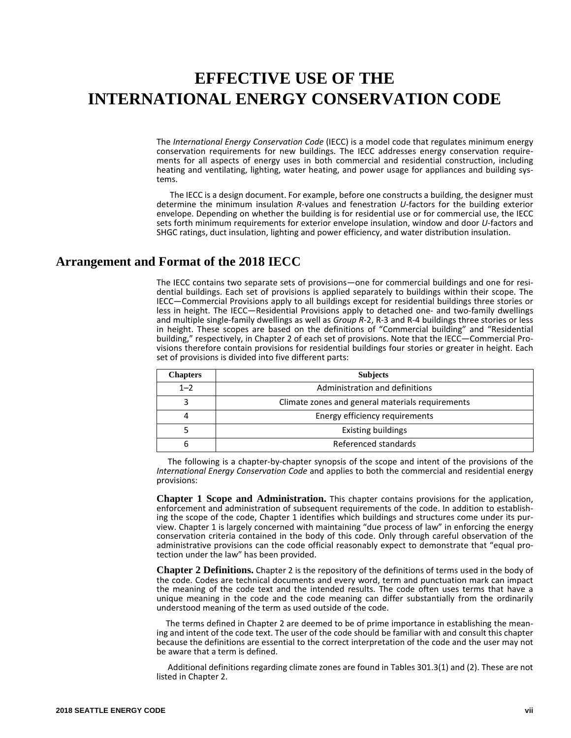# **EFFECTIVE USE OF THE INTERNATIONAL ENERGY CONSERVATION CODE**

The *International Energy Conservation Code* (IECC) is a model code that regulates minimum energy conservation requirements for new buildings. The IECC addresses energy conservation requirements for all aspects of energy uses in both commercial and residential construction, including heating and ventilating, lighting, water heating, and power usage for appliances and building systems.

 The IECC is a design document. For example, before one constructs a building, the designer must determine the minimum insulation *R*-values and fenestration *U-*factors for the building exterior envelope. Depending on whether the building is for residential use or for commercial use, the IECC sets forth minimum requirements for exterior envelope insulation, window and door *U-*factors and SHGC ratings, duct insulation, lighting and power efficiency, and water distribution insulation.

## **Arrangement and Format of the 2018 IECC**

The IECC contains two separate sets of provisions—one for commercial buildings and one for residential buildings. Each set of provisions is applied separately to buildings within their scope. The IECC—Commercial Provisions apply to all buildings except for residential buildings three stories or less in height. The IECC—Residential Provisions apply to detached one- and two-family dwellings and multiple single-family dwellings as well as *Group R*-2, R-3 and R-4 buildings three stories or less in height. These scopes are based on the definitions of "Commercial building" and "Residential building," respectively, in Chapter 2 of each set of provisions. Note that the IECC—Commercial Provisions therefore contain provisions for residential buildings four stories or greater in height. Each set of provisions is divided into five different parts:

| <b>Chapters</b> | <b>Subjects</b>                                  |
|-----------------|--------------------------------------------------|
| $1 - 2$         | Administration and definitions                   |
| 3               | Climate zones and general materials requirements |
|                 | Energy efficiency requirements                   |
|                 | <b>Existing buildings</b>                        |
| 6               | Referenced standards                             |

The following is a chapter-by-chapter synopsis of the scope and intent of the provisions of the *International Energy Conservation Code* and applies to both the commercial and residential energy provisions:

**Chapter 1 Scope and Administration.** This chapter contains provisions for the application, enforcement and administration of subsequent requirements of the code. In addition to establishing the scope of the code, Chapter 1 identifies which buildings and structures come under its purview. Chapter 1 is largely concerned with maintaining "due process of law" in enforcing the energy conservation criteria contained in the body of this code. Only through careful observation of the administrative provisions can the code official reasonably expect to demonstrate that "equal protection under the law" has been provided.

**Chapter 2 Definitions.** Chapter 2 is the repository of the definitions of terms used in the body of the code. Codes are technical documents and every word, term and punctuation mark can impact the meaning of the code text and the intended results. The code often uses terms that have a unique meaning in the code and the code meaning can differ substantially from the ordinarily understood meaning of the term as used outside of the code.

The terms defined in Chapter 2 are deemed to be of prime importance in establishing the meaning and intent of the code text. The user of the code should be familiar with and consult this chapter because the definitions are essential to the correct interpretation of the code and the user may not be aware that a term is defined.

Additional definitions regarding climate zones are found in Tables 301.3(1) and (2). These are not listed in Chapter 2.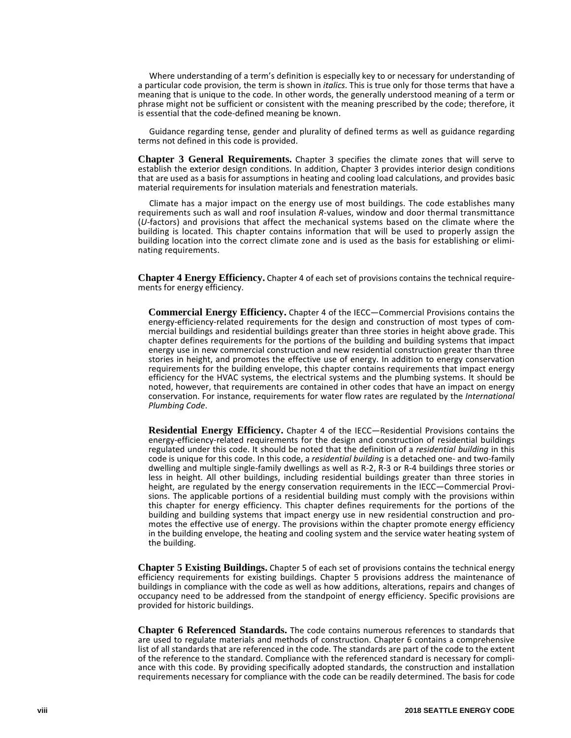Where understanding of a term's definition is especially key to or necessary for understanding of a particular code provision, the term is shown in *italics*. This is true only for those terms that have a meaning that is unique to the code. In other words, the generally understood meaning of a term or phrase might not be sufficient or consistent with the meaning prescribed by the code; therefore, it is essential that the code-defined meaning be known.

Guidance regarding tense, gender and plurality of defined terms as well as guidance regarding terms not defined in this code is provided.

**Chapter 3 General Requirements.** Chapter 3 specifies the climate zones that will serve to establish the exterior design conditions. In addition, Chapter 3 provides interior design conditions that are used as a basis for assumptions in heating and cooling load calculations, and provides basic material requirements for insulation materials and fenestration materials.

Climate has a major impact on the energy use of most buildings. The code establishes many requirements such as wall and roof insulation *R*-values, window and door thermal transmittance (*U-*factors) and provisions that affect the mechanical systems based on the climate where the building is located. This chapter contains information that will be used to properly assign the building location into the correct climate zone and is used as the basis for establishing or eliminating requirements.

**Chapter 4 Energy Efficiency.** Chapter 4 of each set of provisions contains the technical requirements for energy efficiency.

**Commercial Energy Efficiency.** Chapter 4 of the IECC—Commercial Provisions contains the energy-efficiency-related requirements for the design and construction of most types of commercial buildings and residential buildings greater than three stories in height above grade. This chapter defines requirements for the portions of the building and building systems that impact energy use in new commercial construction and new residential construction greater than three stories in height, and promotes the effective use of energy. In addition to energy conservation requirements for the building envelope, this chapter contains requirements that impact energy efficiency for the HVAC systems, the electrical systems and the plumbing systems. It should be noted, however, that requirements are contained in other codes that have an impact on energy conservation. For instance, requirements for water flow rates are regulated by the *International Plumbing Code*.

**Residential Energy Efficiency.** Chapter 4 of the IECC—Residential Provisions contains the energy-efficiency-related requirements for the design and construction of residential buildings regulated under this code. It should be noted that the definition of a *residential building* in this code is unique for this code. In this code, a *residential building* is a detached one- and two-family dwelling and multiple single-family dwellings as well as R-2, R-3 or R-4 buildings three stories or less in height. All other buildings, including residential buildings greater than three stories in height, are regulated by the energy conservation requirements in the IECC—Commercial Provisions. The applicable portions of a residential building must comply with the provisions within this chapter for energy efficiency. This chapter defines requirements for the portions of the building and building systems that impact energy use in new residential construction and promotes the effective use of energy. The provisions within the chapter promote energy efficiency in the building envelope, the heating and cooling system and the service water heating system of the building.

**Chapter 5 Existing Buildings.** Chapter 5 of each set of provisions contains the technical energy efficiency requirements for existing buildings. Chapter 5 provisions address the maintenance of buildings in compliance with the code as well as how additions, alterations, repairs and changes of occupancy need to be addressed from the standpoint of energy efficiency. Specific provisions are provided for historic buildings.

**Chapter 6 Referenced Standards.** The code contains numerous references to standards that are used to regulate materials and methods of construction. Chapter 6 contains a comprehensive list of all standards that are referenced in the code. The standards are part of the code to the extent of the reference to the standard. Compliance with the referenced standard is necessary for compliance with this code. By providing specifically adopted standards, the construction and installation requirements necessary for compliance with the code can be readily determined. The basis for code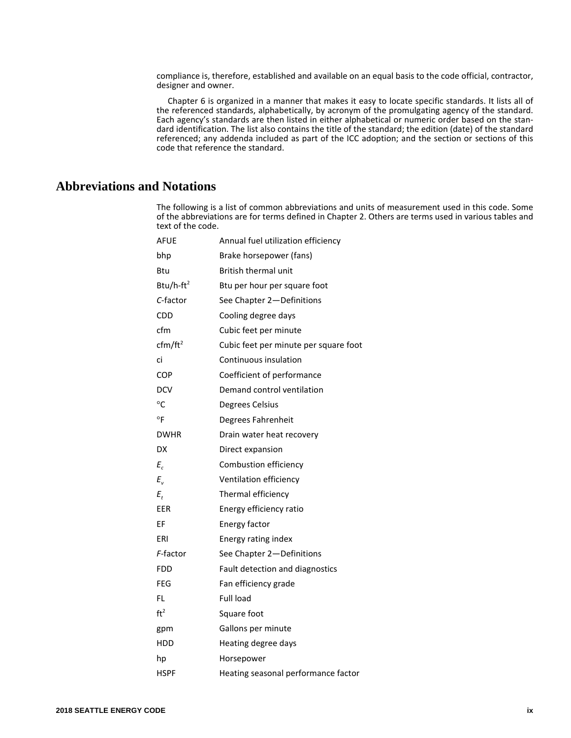compliance is, therefore, established and available on an equal basis to the code official, contractor, designer and owner.

Chapter 6 is organized in a manner that makes it easy to locate specific standards. It lists all of the referenced standards, alphabetically, by acronym of the promulgating agency of the standard. Each agency's standards are then listed in either alphabetical or numeric order based on the standard identification. The list also contains the title of the standard; the edition (date) of the standard referenced; any addenda included as part of the ICC adoption; and the section or sections of this code that reference the standard.

# **Abbreviations and Notations**

The following is a list of common abbreviations and units of measurement used in this code. Some of the abbreviations are for terms defined in Chapter 2. Others are terms used in various tables and text of the code.

| <b>AFUE</b>           | Annual fuel utilization efficiency    |
|-----------------------|---------------------------------------|
| bhp                   | Brake horsepower (fans)               |
| Btu                   | <b>British thermal unit</b>           |
| Btu/h-ft <sup>2</sup> | Btu per hour per square foot          |
| C-factor              | See Chapter 2-Definitions             |
| <b>CDD</b>            | Cooling degree days                   |
| cfm                   | Cubic feet per minute                 |
| cfm/ft <sup>2</sup>   | Cubic feet per minute per square foot |
| ci                    | Continuous insulation                 |
| COP                   | Coefficient of performance            |
| <b>DCV</b>            | Demand control ventilation            |
| $^{\circ}C$           | Degrees Celsius                       |
| $\circ$ F             | Degrees Fahrenheit                    |
| <b>DWHR</b>           | Drain water heat recovery             |
| DX                    | Direct expansion                      |
| E,                    | Combustion efficiency                 |
| $E_{v}$               | Ventilation efficiency                |
| $E_{t}$               | Thermal efficiency                    |
| <b>EER</b>            | Energy efficiency ratio               |
| FF                    | Energy factor                         |
| ERI                   | Energy rating index                   |
| F-factor              | See Chapter 2-Definitions             |
| FDD                   | Fault detection and diagnostics       |
| FEG                   | Fan efficiency grade                  |
| FL                    | <b>Full load</b>                      |
| $\mathrm{ft}^2$       | Square foot                           |
| gpm                   | Gallons per minute                    |
| HDD                   | Heating degree days                   |
| hp                    | Horsepower                            |
| <b>HSPF</b>           | Heating seasonal performance factor   |